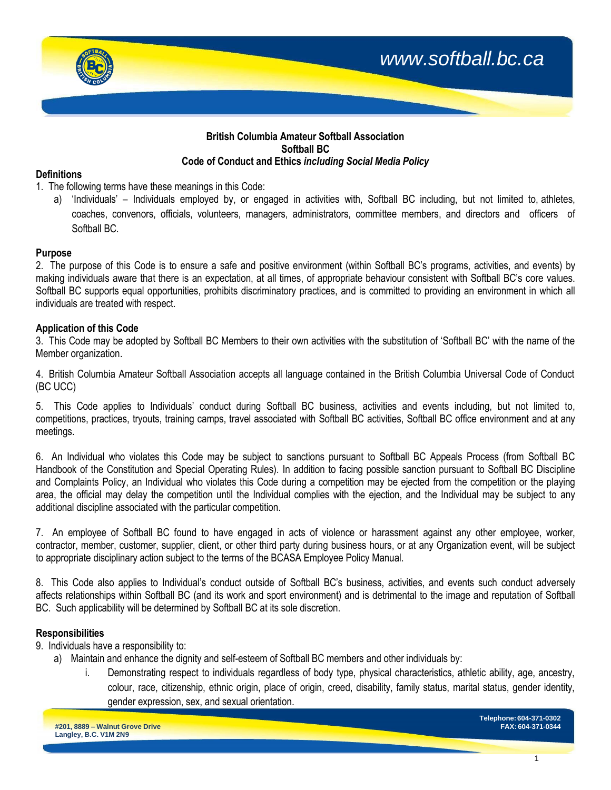

#### **British Columbia Amateur Softball Association Softball BC Code of Conduct and Ethics** *including Social Media Policy*

#### **Definitions**

1. The following terms have these meanings in this Code:

a) 'Individuals' – Individuals employed by, or engaged in activities with, Softball BC including, but not limited to, athletes, coaches, convenors, officials, volunteers, managers, administrators, committee members, and directors and officers of Softball BC.

## **Purpose**

2. The purpose of this Code is to ensure a safe and positive environment (within Softball BC's programs, activities, and events) by making individuals aware that there is an expectation, at all times, of appropriate behaviour consistent with Softball BC's core values. Softball BC supports equal opportunities, prohibits discriminatory practices, and is committed to providing an environment in which all individuals are treated with respect.

## **Application of this Code**

3. This Code may be adopted by Softball BC Members to their own activities with the substitution of 'Softball BC' with the name of the Member organization.

4. British Columbia Amateur Softball Association accepts all language contained in the British Columbia Universal Code of Conduct (BC UCC)

5. This Code applies to Individuals' conduct during Softball BC business, activities and events including, but not limited to, competitions, practices, tryouts, training camps, travel associated with Softball BC activities, Softball BC office environment and at any meetings.

6. An Individual who violates this Code may be subject to sanctions pursuant to Softball BC Appeals Process (from Softball BC Handbook of the Constitution and Special Operating Rules). In addition to facing possible sanction pursuant to Softball BC Discipline and Complaints Policy, an Individual who violates this Code during a competition may be ejected from the competition or the playing area, the official may delay the competition until the Individual complies with the ejection, and the Individual may be subject to any additional discipline associated with the particular competition.

7. An employee of Softball BC found to have engaged in acts of violence or harassment against any other employee, worker, contractor, member, customer, supplier, client, or other third party during business hours, or at any Organization event, will be subject to appropriate disciplinary action subject to the terms of the BCASA Employee Policy Manual.

8. This Code also applies to Individual's conduct outside of Softball BC's business, activities, and events such conduct adversely affects relationships within Softball BC (and its work and sport environment) and is detrimental to the image and reputation of Softball BC. Such applicability will be determined by Softball BC at its sole discretion.

## **Responsibilities**

9. Individuals have a responsibility to:

- a) Maintain and enhance the dignity and self-esteem of Softball BC members and other individuals by:
	- i. Demonstrating respect to individuals regardless of body type, physical characteristics, athletic ability, age, ancestry, colour, race, citizenship, ethnic origin, place of origin, creed, disability, family status, marital status, gender identity, gender expression, sex, and sexual orientation.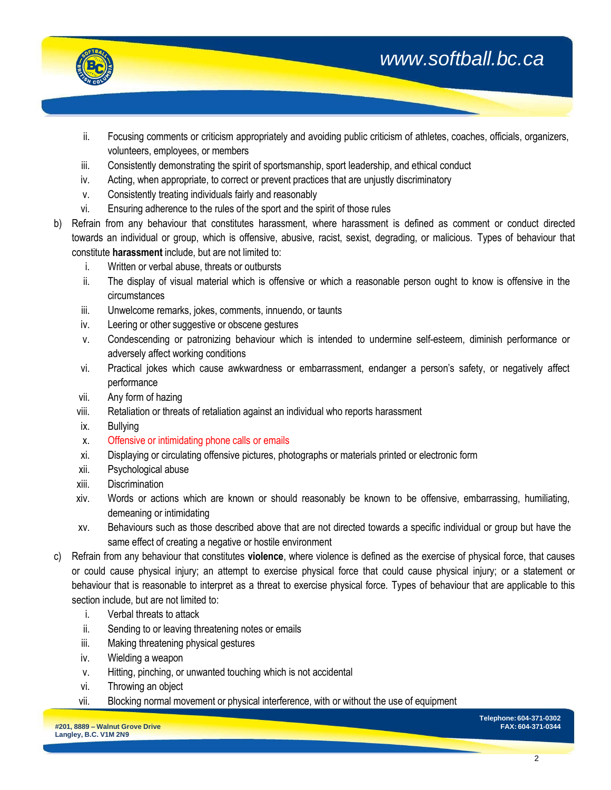# *[www.softball.bc.ca](http://www.softball.bc.ca/)*



- ii. Focusing comments or criticism appropriately and avoiding public criticism of athletes, coaches, officials, organizers, volunteers, employees, or members
- iii. Consistently demonstrating the spirit of sportsmanship, sport leadership, and ethical conduct
- iv. Acting, when appropriate, to correct or prevent practices that are unjustly discriminatory
- v. Consistently treating individuals fairly and reasonably
- vi. Ensuring adherence to the rules of the sport and the spirit of those rules
- b) Refrain from any behaviour that constitutes harassment, where harassment is defined as comment or conduct directed towards an individual or group, which is offensive, abusive, racist, sexist, degrading, or malicious. Types of behaviour that constitute **harassment** include, but are not limited to:
	- i. Written or verbal abuse, threats or outbursts
	- ii. The display of visual material which is offensive or which a reasonable person ought to know is offensive in the circumstances
	- iii. Unwelcome remarks, jokes, comments, innuendo, or taunts
	- iv. Leering or other suggestive or obscene gestures
	- v. Condescending or patronizing behaviour which is intended to undermine self-esteem, diminish performance or adversely affect working conditions
	- vi. Practical jokes which cause awkwardness or embarrassment, endanger a person's safety, or negatively affect performance
	- vii. Any form of hazing
	- viii. Retaliation or threats of retaliation against an individual who reports harassment
	- ix. Bullying
	- x. Offensive or intimidating phone calls or emails
	- xi. Displaying or circulating offensive pictures, photographs or materials printed or electronic form
	- xii. Psychological abuse
	- xiii. Discrimination
	- xiv. Words or actions which are known or should reasonably be known to be offensive, embarrassing, humiliating, demeaning or intimidating
	- xv. Behaviours such as those described above that are not directed towards a specific individual or group but have the same effect of creating a negative or hostile environment
- c) Refrain from any behaviour that constitutes **violence**, where violence is defined as the exercise of physical force, that causes or could cause physical injury; an attempt to exercise physical force that could cause physical injury; or a statement or behaviour that is reasonable to interpret as a threat to exercise physical force. Types of behaviour that are applicable to this section include, but are not limited to:
	- i. Verbal threats to attack
	- ii. Sending to or leaving threatening notes or emails
	- iii. Making threatening physical gestures
	- iv. Wielding a weapon
	- v. Hitting, pinching, or unwanted touching which is not accidental
	- vi. Throwing an object
	- vii. Blocking normal movement or physical interference, with or without the use of equipment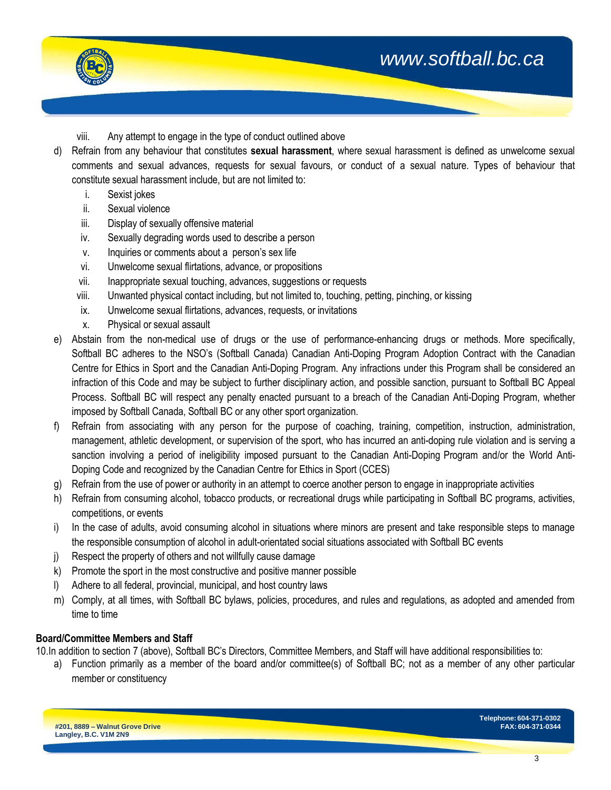



- viii. Any attempt to engage in the type of conduct outlined above
- d) Refrain from any behaviour that constitutes **sexual harassment**, where sexual harassment is defined as unwelcome sexual comments and sexual advances, requests for sexual favours, or conduct of a sexual nature. Types of behaviour that constitute sexual harassment include, but are not limited to:
	- i. Sexist jokes
	- ii. Sexual violence
	- iii. Display of sexually offensive material
	- iv. Sexually degrading words used to describe a person
	- v. Inquiries or comments about a person's sex life
	- vi. Unwelcome sexual flirtations, advance, or propositions
	- vii. Inappropriate sexual touching, advances, suggestions or requests
	- viii. Unwanted physical contact including, but not limited to, touching, petting, pinching, or kissing
	- ix. Unwelcome sexual flirtations, advances, requests, or invitations
	- x. Physical or sexual assault
- e) Abstain from the non-medical use of drugs or the use of performance-enhancing drugs or methods. More specifically, Softball BC adheres to the NSO's (Softball Canada) Canadian Anti-Doping Program Adoption Contract with the Canadian Centre for Ethics in Sport and the Canadian Anti-Doping Program. Any infractions under this Program shall be considered an infraction of this Code and may be subject to further disciplinary action, and possible sanction, pursuant to Softball BC Appeal Process. Softball BC will respect any penalty enacted pursuant to a breach of the Canadian Anti-Doping Program, whether imposed by Softball Canada, Softball BC or any other sport organization.
- f) Refrain from associating with any person for the purpose of coaching, training, competition, instruction, administration, management, athletic development, or supervision of the sport, who has incurred an anti-doping rule violation and is serving a sanction involving a period of ineligibility imposed pursuant to the Canadian Anti-Doping Program and/or the World Anti-Doping Code and recognized by the Canadian Centre for Ethics in Sport (CCES)
- g) Refrain from the use of power or authority in an attempt to coerce another person to engage in inappropriate activities
- h) Refrain from consuming alcohol, tobacco products, or recreational drugs while participating in Softball BC programs, activities, competitions, or events
- i) In the case of adults, avoid consuming alcohol in situations where minors are present and take responsible steps to manage the responsible consumption of alcohol in adult-orientated social situations associated with Softball BC events
- j) Respect the property of others and not willfully cause damage
- k) Promote the sport in the most constructive and positive manner possible
- l) Adhere to all federal, provincial, municipal, and host country laws
- m) Comply, at all times, with Softball BC bylaws, policies, procedures, and rules and regulations, as adopted and amended from time to time

## **Board/Committee Members and Staff**

10.In addition to section 7 (above), Softball BC's Directors, Committee Members, and Staff will have additional responsibilities to:

a) Function primarily as a member of the board and/or committee(s) of Softball BC; not as a member of any other particular member or constituency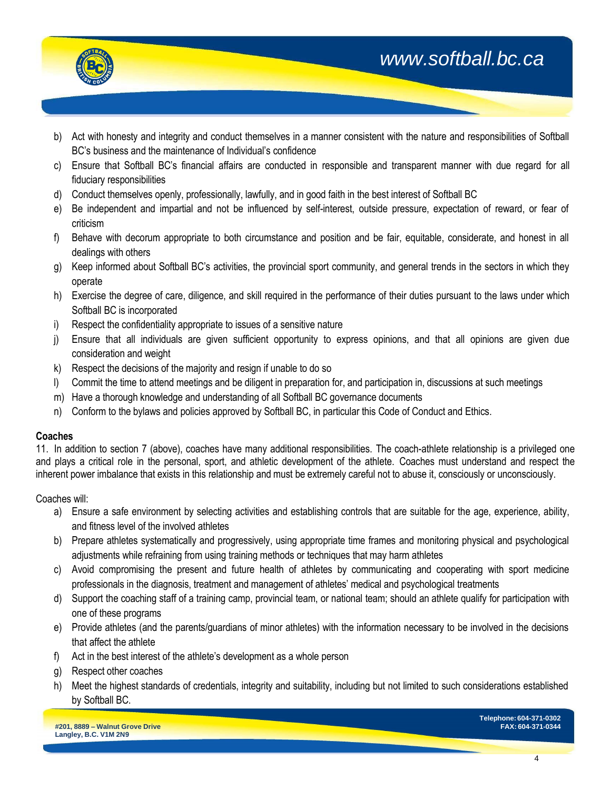



- b) Act with honesty and integrity and conduct themselves in a manner consistent with the nature and responsibilities of Softball BC's business and the maintenance of Individual's confidence
- c) Ensure that Softball BC's financial affairs are conducted in responsible and transparent manner with due regard for all fiduciary responsibilities
- d) Conduct themselves openly, professionally, lawfully, and in good faith in the best interest of Softball BC
- e) Be independent and impartial and not be influenced by self-interest, outside pressure, expectation of reward, or fear of criticism
- f) Behave with decorum appropriate to both circumstance and position and be fair, equitable, considerate, and honest in all dealings with others
- g) Keep informed about Softball BC's activities, the provincial sport community, and general trends in the sectors in which they operate
- h) Exercise the degree of care, diligence, and skill required in the performance of their duties pursuant to the laws under which Softball BC is incorporated
- i) Respect the confidentiality appropriate to issues of a sensitive nature
- j) Ensure that all individuals are given sufficient opportunity to express opinions, and that all opinions are given due consideration and weight
- k) Respect the decisions of the majority and resign if unable to do so
- l) Commit the time to attend meetings and be diligent in preparation for, and participation in, discussions at such meetings
- m) Have a thorough knowledge and understanding of all Softball BC governance documents
- n) Conform to the bylaws and policies approved by Softball BC, in particular this Code of Conduct and Ethics.

#### **Coaches**

11. In addition to section 7 (above), coaches have many additional responsibilities. The coach-athlete relationship is a privileged one and plays a critical role in the personal, sport, and athletic development of the athlete. Coaches must understand and respect the inherent power imbalance that exists in this relationship and must be extremely careful not to abuse it, consciously or unconsciously.

Coaches will:

- a) Ensure a safe environment by selecting activities and establishing controls that are suitable for the age, experience, ability, and fitness level of the involved athletes
- b) Prepare athletes systematically and progressively, using appropriate time frames and monitoring physical and psychological adjustments while refraining from using training methods or techniques that may harm athletes
- c) Avoid compromising the present and future health of athletes by communicating and cooperating with sport medicine professionals in the diagnosis, treatment and management of athletes' medical and psychological treatments
- d) Support the coaching staff of a training camp, provincial team, or national team; should an athlete qualify for participation with one of these programs
- e) Provide athletes (and the parents/guardians of minor athletes) with the information necessary to be involved in the decisions that affect the athlete
- f) Act in the best interest of the athlete's development as a whole person
- g) Respect other coaches
- h) Meet the highest standards of credentials, integrity and suitability, including but not limited to such considerations established by Softball BC.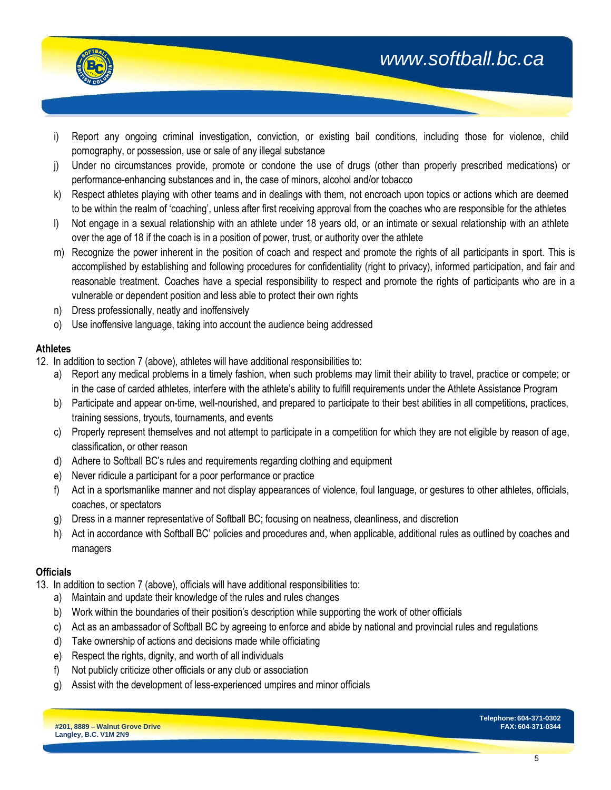

## *[www.softball.bc.ca](http://www.softball.bc.ca/)*

- i) Report any ongoing criminal investigation, conviction, or existing bail conditions, including those for violence, child pornography, or possession, use or sale of any illegal substance
- j) Under no circumstances provide, promote or condone the use of drugs (other than properly prescribed medications) or performance-enhancing substances and in, the case of minors, alcohol and/or tobacco
- k) Respect athletes playing with other teams and in dealings with them, not encroach upon topics or actions which are deemed to be within the realm of 'coaching', unless after first receiving approval from the coaches who are responsible for the athletes
- l) Not engage in a sexual relationship with an athlete under 18 years old, or an intimate or sexual relationship with an athlete over the age of 18 if the coach is in a position of power, trust, or authority over the athlete
- m) Recognize the power inherent in the position of coach and respect and promote the rights of all participants in sport. This is accomplished by establishing and following procedures for confidentiality (right to privacy), informed participation, and fair and reasonable treatment. Coaches have a special responsibility to respect and promote the rights of participants who are in a vulnerable or dependent position and less able to protect their own rights
- n) Dress professionally, neatly and inoffensively
- o) Use inoffensive language, taking into account the audience being addressed

## **Athletes**

- 12. In addition to section 7 (above), athletes will have additional responsibilities to:
	- a) Report any medical problems in a timely fashion, when such problems may limit their ability to travel, practice or compete; or in the case of carded athletes, interfere with the athlete's ability to fulfill requirements under the Athlete Assistance Program
	- b) Participate and appear on-time, well-nourished, and prepared to participate to their best abilities in all competitions, practices, training sessions, tryouts, tournaments, and events
	- c) Properly represent themselves and not attempt to participate in a competition for which they are not eligible by reason of age, classification, or other reason
	- d) Adhere to Softball BC's rules and requirements regarding clothing and equipment
	- e) Never ridicule a participant for a poor performance or practice
	- f) Act in a sportsmanlike manner and not display appearances of violence, foul language, or gestures to other athletes, officials, coaches, or spectators
	- g) Dress in a manner representative of Softball BC; focusing on neatness, cleanliness, and discretion
	- h) Act in accordance with Softball BC' policies and procedures and, when applicable, additional rules as outlined by coaches and managers

## **Officials**

- 13. In addition to section 7 (above), officials will have additional responsibilities to:
	- a) Maintain and update their knowledge of the rules and rules changes
	- b) Work within the boundaries of their position's description while supporting the work of other officials
	- c) Act as an ambassador of Softball BC by agreeing to enforce and abide by national and provincial rules and regulations
	- d) Take ownership of actions and decisions made while officiating
	- e) Respect the rights, dignity, and worth of all individuals
	- f) Not publicly criticize other officials or any club or association
	- g) Assist with the development of less-experienced umpires and minor officials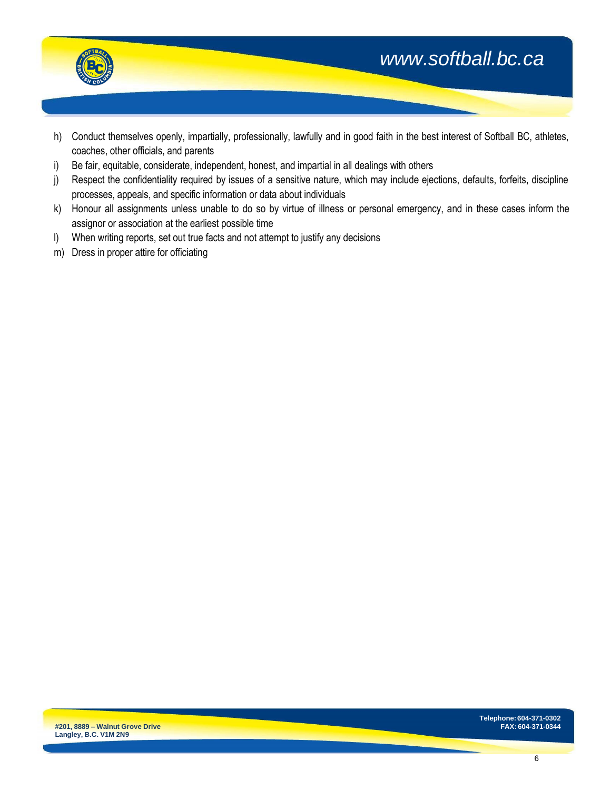

h) Conduct themselves openly, impartially, professionally, lawfully and in good faith in the best interest of Softball BC, athletes, coaches, other officials, and parents

*[www.softball.bc.ca](http://www.softball.bc.ca/)*

- i) Be fair, equitable, considerate, independent, honest, and impartial in all dealings with others
- j) Respect the confidentiality required by issues of a sensitive nature, which may include ejections, defaults, forfeits, discipline processes, appeals, and specific information or data about individuals
- k) Honour all assignments unless unable to do so by virtue of illness or personal emergency, and in these cases inform the assignor or association at the earliest possible time
- l) When writing reports, set out true facts and not attempt to justify any decisions
- m) Dress in proper attire for officiating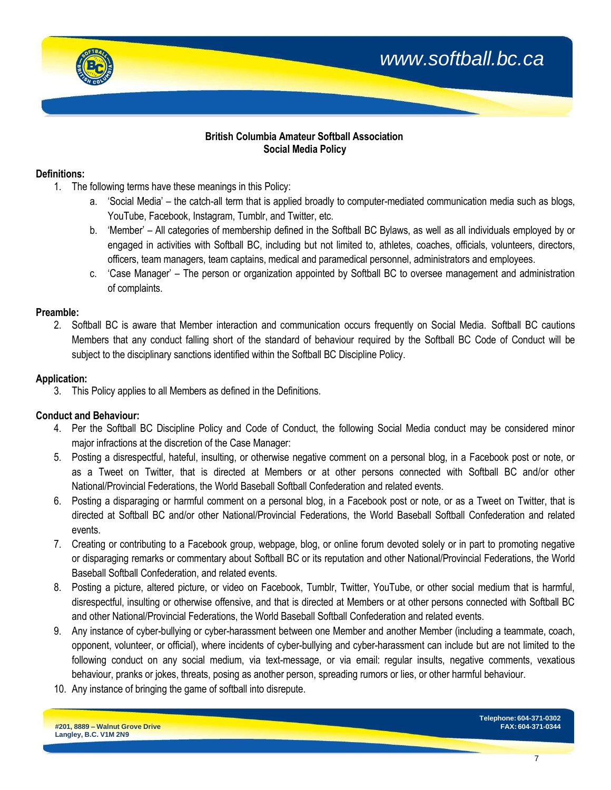

## **British Columbia Amateur Softball Association Social Media Policy**

#### **Definitions:**

- 1. The following terms have these meanings in this Policy:
	- a. 'Social Media' the catch-all term that is applied broadly to computer-mediated communication media such as blogs, YouTube, Facebook, Instagram, Tumblr, and Twitter, etc.
	- b. 'Member' All categories of membership defined in the Softball BC Bylaws, as well as all individuals employed by or engaged in activities with Softball BC, including but not limited to, athletes, coaches, officials, volunteers, directors, officers, team managers, team captains, medical and paramedical personnel, administrators and employees.
	- c. 'Case Manager' The person or organization appointed by Softball BC to oversee management and administration of complaints.

## **Preamble:**

2. Softball BC is aware that Member interaction and communication occurs frequently on Social Media. Softball BC cautions Members that any conduct falling short of the standard of behaviour required by the Softball BC Code of Conduct will be subject to the disciplinary sanctions identified within the Softball BC Discipline Policy.

## **Application:**

3. This Policy applies to all Members as defined in the Definitions.

## **Conduct and Behaviour:**

- 4. Per the Softball BC Discipline Policy and Code of Conduct, the following Social Media conduct may be considered minor major infractions at the discretion of the Case Manager:
- 5. Posting a disrespectful, hateful, insulting, or otherwise negative comment on a personal blog, in a Facebook post or note, or as a Tweet on Twitter, that is directed at Members or at other persons connected with Softball BC and/or other National/Provincial Federations, the World Baseball Softball Confederation and related events.
- 6. Posting a disparaging or harmful comment on a personal blog, in a Facebook post or note, or as a Tweet on Twitter, that is directed at Softball BC and/or other National/Provincial Federations, the World Baseball Softball Confederation and related events.
- 7. Creating or contributing to a Facebook group, webpage, blog, or online forum devoted solely or in part to promoting negative or disparaging remarks or commentary about Softball BC or its reputation and other National/Provincial Federations, the World Baseball Softball Confederation, and related events.
- 8. Posting a picture, altered picture, or video on Facebook, Tumblr, Twitter, YouTube, or other social medium that is harmful, disrespectful, insulting or otherwise offensive, and that is directed at Members or at other persons connected with Softball BC and other National/Provincial Federations, the World Baseball Softball Confederation and related events.
- 9. Any instance of cyber-bullying or cyber-harassment between one Member and another Member (including a teammate, coach, opponent, volunteer, or official), where incidents of cyber-bullying and cyber-harassment can include but are not limited to the following conduct on any social medium, via text-message, or via email: regular insults, negative comments, vexatious behaviour, pranks or jokes, threats, posing as another person, spreading rumors or lies, or other harmful behaviour.
- 10. Any instance of bringing the game of softball into disrepute.